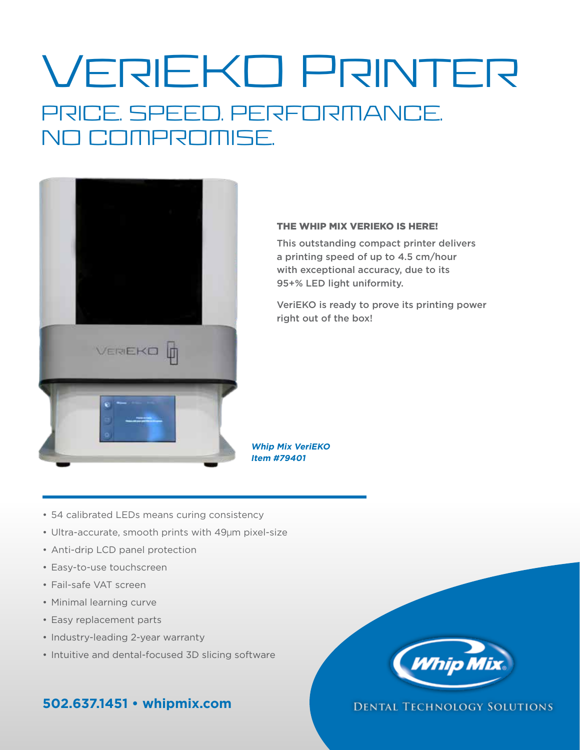# VeriEKO Printer PRICE. SPEED. PERFORMANCE. NO COMPROMISE.



### THE WHIP MIX VERIEKO IS HERE!

This outstanding compact printer delivers a printing speed of up to 4.5 cm/hour with exceptional accuracy, due to its 95+% LED light uniformity.

VeriEKO is ready to prove its printing power right out of the box!

**Whip Mix VeriEKO Item #79401**

- 54 calibrated LEDs means curing consistency
- Ultra-accurate, smooth prints with 49µm pixel-size
- Anti-drip LCD panel protection
- Easy-to-use touchscreen
- Fail-safe VAT screen
- Minimal learning curve
- Easy replacement parts
- Industry-leading 2-year warranty
- Intuitive and dental-focused 3D slicing software

## **502.637.1451 • whipmix.com**



### **DENTAL TECHNOLOGY SOLUTIONS**